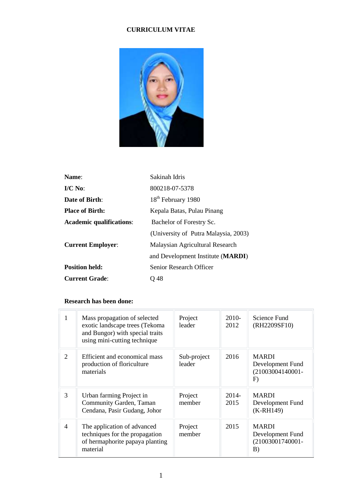## **CURRICULUM VITAE**



| Name:                           | Sakinah Idris                        |
|---------------------------------|--------------------------------------|
| $\mathbf{I}/\mathbf{C}$ No:     | 800218-07-5378                       |
| Date of Birth:                  | 18 <sup>th</sup> February 1980       |
| <b>Place of Birth:</b>          | Kepala Batas, Pulau Pinang           |
| <b>Academic qualifications:</b> | Bachelor of Forestry Sc.             |
|                                 | (University of Putra Malaysia, 2003) |
| <b>Current Employer:</b>        | Malaysian Agricultural Research      |
|                                 | and Development Institute (MARDI)    |
| <b>Position held:</b>           | Senior Research Officer              |
| <b>Current Grade:</b>           | O 48                                 |

#### **Research has been done:**

| 1                           | Mass propagation of selected<br>exotic landscape trees (Tekoma<br>and Bungor) with special traits<br>using mini-cutting technique | Project<br>leader     | 2010-<br>2012 | Science Fund<br>(RH2209SF10)                                  |
|-----------------------------|-----------------------------------------------------------------------------------------------------------------------------------|-----------------------|---------------|---------------------------------------------------------------|
| $\mathcal{D}_{\mathcal{L}}$ | Efficient and economical mass<br>production of floriculture<br>materials                                                          | Sub-project<br>leader | 2016          | <b>MARDI</b><br>Development Fund<br>$(21003004140001 -$<br>F) |
| 3                           | Urban farming Project in<br>Community Garden, Taman<br>Cendana, Pasir Gudang, Johor                                               | Project<br>member     | 2014-<br>2015 | <b>MARDI</b><br>Development Fund<br>$(K-RH149)$               |
| $\overline{4}$              | The application of advanced<br>techniques for the propagation<br>of hermaphorite papaya planting<br>material                      | Project<br>member     | 2015          | <b>MARDI</b><br>Development Fund<br>(21003001740001-<br>B)    |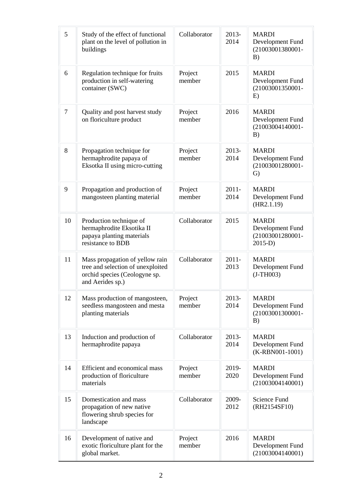| 5      | Study of the effect of functional<br>plant on the level of pollution in<br>buildings                                      | Collaborator      | 2013-<br>2014    | <b>MARDI</b><br>Development Fund<br>(21003001380001-<br>B)         |
|--------|---------------------------------------------------------------------------------------------------------------------------|-------------------|------------------|--------------------------------------------------------------------|
| 6      | Regulation technique for fruits<br>production in self-watering<br>container (SWC)                                         | Project<br>member | 2015             | <b>MARDI</b><br>Development Fund<br>(21003001350001-<br>E)         |
| $\tau$ | Quality and post harvest study<br>on floriculture product                                                                 | Project<br>member | 2016             | <b>MARDI</b><br>Development Fund<br>(21003004140001-<br>B)         |
| 8      | Propagation technique for<br>hermaphrodite papaya of<br>Eksotka II using micro-cutting                                    | Project<br>member | $2013-$<br>2014  | <b>MARDI</b><br>Development Fund<br>(21003001280001-<br>G)         |
| 9      | Propagation and production of<br>mangosteen planting material                                                             | Project<br>member | $2011 -$<br>2014 | <b>MARDI</b><br>Development Fund<br>(HR2.1.19)                     |
| 10     | Production technique of<br>hermaphrodite Eksotika II<br>papaya planting materials<br>resistance to BDB                    | Collaborator      | 2015             | <b>MARDI</b><br>Development Fund<br>(21003001280001-<br>$2015-D$ ) |
| 11     | Mass propagation of yellow rain<br>tree and selection of unexploited<br>orchid species (Ceologyne sp.<br>and Aerides sp.) | Collaborator      | $2011 -$<br>2013 | <b>MARDI</b><br>Development Fund<br>$(J-TH003)$                    |
| 12     | Mass production of mangosteen,<br>seedless mangosteen and mesta<br>planting materials                                     | Project<br>member | 2013-<br>2014    | <b>MARDI</b><br>Development Fund<br>(21003001300001-<br>B)         |
| 13     | Induction and production of<br>hermaphrodite papaya                                                                       | Collaborator      | 2013-<br>2014    | <b>MARDI</b><br>Development Fund<br>(K-RBN001-1001)                |
| 14     | Efficient and economical mass<br>production of floriculture<br>materials                                                  | Project<br>member | 2019-<br>2020    | <b>MARDI</b><br>Development Fund<br>(21003004140001)               |
| 15     | Domestication and mass<br>propagation of new native<br>flowering shrub species for<br>landscape                           | Collaborator      | 2009-<br>2012    | <b>Science Fund</b><br>(RH2154SF10)                                |
| 16     | Development of native and<br>exotic floriculture plant for the<br>global market.                                          | Project<br>member | 2016             | <b>MARDI</b><br>Development Fund<br>(21003004140001)               |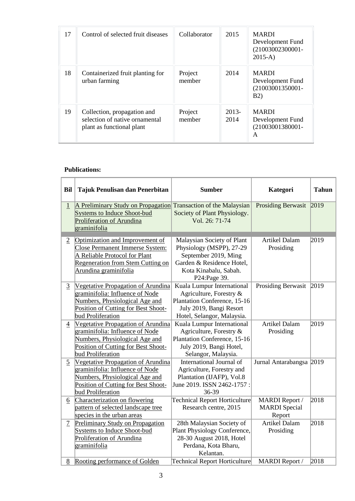| 17 | Control of selected fruit diseases                                                         | Collaborator      | 2015            | <b>MARDI</b><br>Development Fund<br>(21003002300001-<br>$2015-A$    |
|----|--------------------------------------------------------------------------------------------|-------------------|-----------------|---------------------------------------------------------------------|
| 18 | Containerized fruit planting for<br>urban farming                                          | Project<br>member | 2014            | <b>MARDI</b><br>Development Fund<br>(21003001350001-<br><b>B2</b> ) |
| 19 | Collection, propagation and<br>selection of native ornamental<br>plant as functional plant | Project<br>member | $2013-$<br>2014 | <b>MARDI</b><br>Development Fund<br>(21003001380001-<br>A           |

#### **Publications:**

| Bil            | Tajuk Penulisan dan Penerbitan                                                                                                                                           | <b>Sumber</b>                                                                                                                                        | Kategori                                                | <b>Tahun</b> |
|----------------|--------------------------------------------------------------------------------------------------------------------------------------------------------------------------|------------------------------------------------------------------------------------------------------------------------------------------------------|---------------------------------------------------------|--------------|
| $\overline{1}$ | A Preliminary Study on Propagation Transaction of the Malaysian<br><b>Systems to Induce Shoot-bud</b><br>Proliferation of Arundina<br>graminifolia                       | Society of Plant Physiology.<br>Vol. 26: 71-74                                                                                                       | <b>Prosiding Berwasit</b>                               | 2019         |
| $\overline{2}$ | Optimization and Improvement of<br>Close Permanent Immerse System:<br>A Reliable Protocol for Plant<br><b>Regeneration from Stem Cutting on</b><br>Arundina graminifolia | Malaysian Society of Plant<br>Physiology (MSPP), 27-29<br>September 2019, Ming<br>Garden & Residence Hotel,<br>Kota Kinabalu, Sabah.<br>P24:Page 39. | <b>Artikel Dalam</b><br>Prosiding                       | 2019         |
| $\overline{3}$ | Vegetative Propagation of Arundina<br>graminifolia: Influence of Node<br>Numbers, Physiological Age and<br>Position of Cutting for Best Shoot-<br>bud Proliferation      | Kuala Lumpur International<br>Agriculture, Forestry &<br>Plantation Conference, 15-16<br>July 2019, Bangi Resort<br>Hotel, Selangor, Malaysia.       | Prosiding Berwasit                                      | 2019         |
| $\overline{4}$ | Vegetative Propagation of Arundina<br>graminifolia: Influence of Node<br>Numbers, Physiological Age and<br>Position of Cutting for Best Shoot-<br>bud Proliferation      | Kuala Lumpur International<br>Agriculture, Forestry &<br>Plantation Conference, 15-16<br>July 2019, Bangi Hotel,<br>Selangor, Malaysia.              | <b>Artikel Dalam</b><br>Prosiding                       | 2019         |
| 5              | Vegetative Propagation of Arundina<br>graminifolia: Influence of Node<br>Numbers, Physiological Age and<br>Position of Cutting for Best Shoot-<br>bud Proliferation      | International Journal of<br>Agriculture, Forestry and<br>Plantation (IJAFP), Vol.8<br>June 2019. ISSN 2462-1757 :<br>36-39                           | Jurnal Antarabangsa 2019                                |              |
| 6              | Characterization on flowering<br>pattern of selected landscape tree<br>species in the urban areas                                                                        | <b>Technical Report Horticulture</b><br>Research centre, 2015                                                                                        | <b>MARDI</b> Report /<br><b>MARDI</b> Special<br>Report | 2018         |
| $\overline{7}$ | Preliminary Study on Propagation<br>Systems to Induce Shoot-bud<br>Proliferation of Arundina<br>graminifolia                                                             | 28th Malaysian Society of<br>Plant Physiology Conference,<br>28-30 August 2018, Hotel<br>Perdana, Kota Bharu,<br>Kelantan.                           | <b>Artikel Dalam</b><br>Prosiding                       | 2018         |
| 8              | Rooting performance of Golden                                                                                                                                            | <b>Technical Report Horticulture</b>                                                                                                                 | <b>MARDI</b> Report /                                   | 2018         |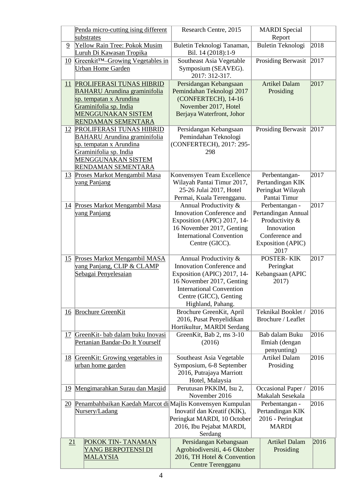|           | Penda micro-cutting ising different                        | Research Centre, 2015                                        | <b>MARDI</b> Special                  |      |
|-----------|------------------------------------------------------------|--------------------------------------------------------------|---------------------------------------|------|
|           | substrates                                                 |                                                              | Report                                |      |
| 9         | Yellow Rain Tree: Pokok Musim<br>Luruh Di Kawasan Tropika  | Buletin Teknologi Tanaman,<br>Bil. 14 (2018):1-9             | Buletin Teknologi                     | 2018 |
| 10        | Greenkit <sup>TM</sup> -Growing Vegetables in              | Southeast Asia Vegetable                                     | Prosiding Berwasit                    | 2017 |
|           | <b>Urban Home Garden</b>                                   | Symposium (SEAVEG).<br>2017: 312-317.                        |                                       |      |
| 11        | PROLIFERASI TUNAS HIBRID                                   | Persidangan Kebangsaan                                       | <b>Artikel Dalam</b>                  | 2017 |
|           | <b>BAHARU Arundina graminifolia</b>                        | Pemindahan Teknologi 2017                                    | Prosiding                             |      |
|           | sp. tempatan x Arundina                                    | (CONFERTECH), 14-16                                          |                                       |      |
|           | Graminifolia sp. India                                     | November 2017, Hotel                                         |                                       |      |
|           | <b>MENGGUNAKAN SISTEM</b>                                  | Berjaya Waterfront, Johor                                    |                                       |      |
|           | RENDAMAN SEMENTARA<br><b>12 PROLIFERASI TUNAS HIBRID</b>   | Persidangan Kebangsaan                                       | Prosiding Berwasit                    | 2017 |
|           | <b>BAHARU Arundina graminifolia</b>                        | Pemindahan Teknologi                                         |                                       |      |
|           | sp. tempatan x Arundina                                    | (CONFERTECH), 2017: 295-                                     |                                       |      |
|           | Graminifolia sp. India                                     | 298                                                          |                                       |      |
|           | <b>MENGGUNAKAN SISTEM</b>                                  |                                                              |                                       |      |
|           | RENDAMAN SEMENTARA                                         |                                                              |                                       |      |
| 13        | Proses Markot Mengambil Masa                               | Konvensyen Team Excellence                                   | Perbentangan-                         | 2017 |
|           | <u>vang Panjang</u>                                        | Wilayah Pantai Timur 2017,                                   | Pertandingan KIK                      |      |
|           |                                                            | 25-26 Julai 2017, Hotel                                      | Peringkat Wilayah                     |      |
|           |                                                            | Permai, Kuala Terengganu.                                    | Pantai Timur                          |      |
|           | 14 Proses Markot Mengambil Masa                            | Annual Productivity &                                        | Perbentangan -                        | 2017 |
|           | vang Panjang                                               | Innovation Conference and                                    | Pertandingan Annual<br>Productivity & |      |
|           |                                                            | Exposition (APIC) 2017, 14-<br>16 November 2017, Genting     | Innovation                            |      |
|           |                                                            | <b>International Convention</b>                              | Conference and                        |      |
|           |                                                            | Centre (GICC).                                               | <b>Exposition (APIC)</b>              |      |
|           |                                                            |                                                              | 2017                                  |      |
|           | 15 Proses Markot Mengambil MASA                            | Annual Productivity &                                        | POSTER-KIK                            | 2017 |
|           | yang Panjang, CLIP & CLAMP                                 | Innovation Conference and                                    | Peringkat                             |      |
|           | Sebagai Penyelesaian                                       | Exposition (APIC) 2017, 14-                                  | Kebangsaan (APIC                      |      |
|           |                                                            | 16 November 2017, Genting                                    | 2017)                                 |      |
|           |                                                            | <b>International Convention</b>                              |                                       |      |
|           |                                                            | Centre (GICC), Genting<br>Highland, Pahang.                  |                                       |      |
|           | 16 Brochure GreenKit                                       | Brochure GreenKit, April                                     | Teknikal Booklet /                    | 2016 |
|           |                                                            | 2016, Pusat Penyelidikan                                     | Brochure / Leaflet                    |      |
|           |                                                            | Hortikultur, MARDI Serdang                                   |                                       |      |
| 17        | GreenKit- bab dalam buku Inovasi                           | GreenKit, Bab 2, ms 3-10                                     | Bab dalam Buku                        | 2016 |
|           | Pertanian Bandar-Do It Yourself                            | (2016)                                                       | Ilmiah (dengan                        |      |
|           |                                                            |                                                              | penyunting)                           |      |
| <u>18</u> | GreenKit: Growing vegetables in                            | Southeast Asia Vegetable                                     | <b>Artikel Dalam</b>                  | 2016 |
|           | urban home garden                                          | Symposium, 6-8 September                                     | Prosiding                             |      |
|           |                                                            | 2016, Putrajaya Marriott<br>Hotel, Malaysia                  |                                       |      |
| <u>19</u> | Mengimarahkan Surau dan Masjid                             | Perutusan PKKIM, Isu 2,                                      | Occasional Paper /                    | 2016 |
|           |                                                            | November 2016                                                | Makalah Sesekala                      |      |
| 20        | Penambahbaikan Kaedah Marcot di Majlis Konvensyen Kumpulan |                                                              | Perbentangan -                        | 2016 |
|           | Nursery/Ladang                                             | Inovatif dan Kreatif (KIK),                                  | Pertandingan KIK                      |      |
|           |                                                            | Peringkat MARDI, 10 October                                  | 2016 - Peringkat                      |      |
|           |                                                            | 2016, Ibu Pejabat MARDI,                                     | <b>MARDI</b>                          |      |
|           |                                                            | Serdang                                                      |                                       |      |
| 21        | POKOK TIN-TANAMAN                                          | Persidangan Kebangsaan                                       | <b>Artikel Dalam</b>                  | 2016 |
|           | YANG BERPOTENSI DI<br><b>MALAYSIA</b>                      | Agrobiodiversiti, 4-6 Oktober<br>2016, TH Hotel & Convention | Prosiding                             |      |
|           |                                                            | Centre Terengganu                                            |                                       |      |
|           |                                                            |                                                              |                                       |      |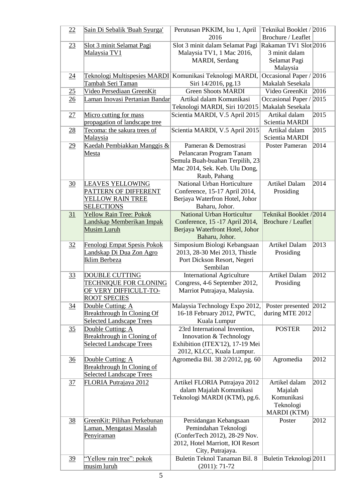| 22              | Sain Di Sebalik 'Buah Syurga'                                                                         | Perutusan PKKIM, Isu 1, April<br>2016                                                                                                   | Teknikal Booklet / 2016<br>Brochure / Leaflet                      |      |
|-----------------|-------------------------------------------------------------------------------------------------------|-----------------------------------------------------------------------------------------------------------------------------------------|--------------------------------------------------------------------|------|
| 23              | Slot 3 minit Selamat Pagi<br>Malaysia TV1                                                             | Slot 3 minit dalam Selamat Pagi<br>Malaysia TV1, 1 Mac 2016,<br>MARDI, Serdang                                                          | Rakaman TV1 Slot 2016<br>3 minit dalam<br>Selamat Pagi             |      |
| 24              | <b>Teknologi Multispesies MARDI</b><br>Tambah Seri Taman                                              | Komunikasi Teknologi MARDI,<br>Siri 14/2016, pg.13                                                                                      | Malaysia<br>Occasional Paper / 2016<br>Makalah Sesekala            |      |
| 25              | Video Persediaan GreenKit                                                                             | <b>Green Shoots MARDI</b>                                                                                                               | Video GreenKit                                                     | 2016 |
| 26              | Laman Inovasi Pertanian Bandar                                                                        | Artikal dalam Komunikasi<br>Teknologi MARDI, Siri 10/2015                                                                               | Occasional Paper / 2015<br>Makalah Sesekala                        |      |
| 27              | Micro cutting for mass<br>propagation of landscape tree                                               | Scientia MARDI, V.5 April 2015                                                                                                          | Artikal dalam<br>Scientia MARDI                                    | 2015 |
| 28              | Tecoma: the sakura trees of<br><b>Malaysia</b>                                                        | Scientia MARDI, V.5 April 2015                                                                                                          | Artikal dalam<br>Scientia MARDI                                    | 2015 |
| 29              | Kaedah Pembiakkan Manggis &<br><b>Mesta</b>                                                           | Pameran & Demostrasi<br>Pelancaran Program Tanam<br>Semula Buah-buahan Terpilih, 23<br>Mac 2014, Sek. Keb. Ulu Dong,<br>Raub, Pahang    | <b>Poster Pameran</b>                                              | 2014 |
| 30              | <b>LEAVES YELLOWING</b><br>PATTERN OF DIFFERENT<br>YELLOW RAIN TREE<br><b>SELECTIONS</b>              | National Urban Horticulture<br>Conference, 15-17 April 2014,<br>Berjaya Waterfron Hotel, Johor<br>Baharu, Johor.                        | Artikel Dalam<br>Prosiding                                         | 2014 |
| 31              | <b>Yellow Rain Tree: Pokok</b><br>Landskap Memberikan Impak<br><b>Musim Luruh</b>                     | <b>National Urban Horticultur</b><br>Conference, 15 -17 April 2014,<br>Berjaya Waterfront Hotel, Johor<br>Baharu, Johor.                | Teknikal Booklet /2014<br>Brochure / Leaflet                       |      |
| 32              | Fenologi Empat Spesis Pokok<br>Landskap Di Dua Zon Agro<br>Iklim Berbeza                              | Simposium Biologi Kebangsaan<br>2013, 28-30 Mei 2013, Thistle<br>Port Dickson Resort, Negeri<br>Sembilan                                | <b>Artikel Dalam</b><br>Prosiding                                  | 2013 |
| 33              | <b>DOUBLE CUTTING</b><br><b>TECHNIQUE FOR CLONING</b><br>OF VERY DIFFICULT-TO-<br><b>ROOT SPECIES</b> | <b>International Agriculture</b><br>Congress, 4-6 September 2012,<br>Marriot Putrajaya, Malaysia.                                       | <b>Artikel Dalam</b><br>Prosiding                                  | 2012 |
| $\overline{34}$ | Double Cutting: A<br><b>Breakthrough In Cloning Of</b><br>Selected Landscape Trees                    | Malaysia Technology Expo 2012,<br>16-18 February 2012, PWTC,<br>Kuala Lumpur                                                            | Poster presented 2012<br>during MTE 2012                           |      |
| 35              | Double Cutting: A<br>Breakthrough in Cloning of<br><b>Selected Landscape Trees</b>                    | 23rd International Invention,<br>Innovation & Technology<br>Exhibition (ITEX'12), 17-19 Mei<br>2012, KLCC, Kuala Lumpur.                | <b>POSTER</b>                                                      | 2012 |
| $\frac{36}{5}$  | Double Cutting: A<br><b>Breakthrough In Cloning of</b><br>Selected Landscape Trees                    | Agromedia Bil. 38 2/2012, pg. 60                                                                                                        | Agromedia                                                          | 2012 |
| 37              | <b>FLORIA Putrajaya 2012</b>                                                                          | Artikel FLORIA Putrajaya 2012<br>dalam Majalah Komunikasi<br>Teknologi MARDI (KTM), pg.6.                                               | Artikel dalam<br>Majalah<br>Komunikasi<br>Teknologi<br>MARDI (KTM) | 2012 |
| <u>38</u>       | GreenKit: Pilihan Perkebunan<br>Laman, Mengatasi Masalah<br>Penyiraman                                | Persidangan Kebangsaan<br>Pemindahan Teknologi<br>(ConferTech 2012), 28-29 Nov.<br>2012, Hotel Marriott, IOI Resort<br>City, Putrajaya. | Poster                                                             | 2012 |
| <u>39</u>       | "Yellow rain tree": pokok<br>musim luruh                                                              | Buletin Teknol Tanaman Bil. 8<br>$(2011): 71-72$                                                                                        | Buletin Teknologi 2011                                             |      |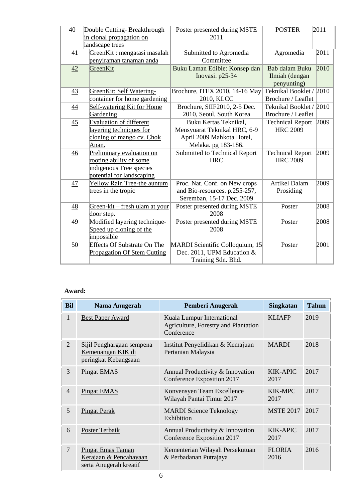| 40              | Double Cutting-Breakthrough<br>in clonal propagation on<br>landscape trees                                   | Poster presented during MSTE<br>2011                                                                      | <b>POSTER</b>                                          | 2011 |
|-----------------|--------------------------------------------------------------------------------------------------------------|-----------------------------------------------------------------------------------------------------------|--------------------------------------------------------|------|
| 41              | GreenKit: mengatasi masalah<br>penyiraman tanaman anda                                                       | Submitted to Agromedia<br>Committee                                                                       | Agromedia                                              | 2011 |
| 42              | GreenKit                                                                                                     | Buku Laman Edible: Konsep dan<br>Inovasi. p25-34                                                          | <b>Bab dalam Buku</b><br>Ilmiah (dengan<br>penyunting) | 2010 |
| 43              | GreenKit: Self Watering-<br>container for home gardening                                                     | Brochure, ITEX 2010, 14-16 May<br>2010, KLCC                                                              | Teknikal Booklet / 2010<br>Brochure / Leaflet          |      |
| $\overline{44}$ | Self-watering Kit for Home<br>Gardening                                                                      | Brochure, SIIF2010, 2-5 Dec.<br>2010, Seoul, South Korea                                                  | Teknikal Booklet / 2010<br>Brochure / Leaflet          |      |
| 45              | <b>Evaluation of different</b><br>layering techniques for<br>cloning of mango cv. Chok<br>Anan.              | Buku Kertas Teknikal,<br>Mensyuarat Teknikal HRC, 6-9<br>April 2009 Mahkota Hotel,<br>Melaka. pg 183-186. | <b>Technical Report</b><br><b>HRC 2009</b>             | 2009 |
| 46              | Preliminary evaluation on<br>rooting ability of some<br>indigenous Tree species<br>potential for landscaping | Submitted to Technical Report<br><b>HRC</b>                                                               | <b>Technical Report</b><br><b>HRC 2009</b>             | 2009 |
| 47              | Yellow Rain Tree-the auntum<br>trees in the tropic                                                           | Proc. Nat. Conf. on New crops<br>and Bio-resources. p.255-257,<br>Seremban, 15-17 Dec. 2009               | <b>Artikel Dalam</b><br>Prosiding                      | 2009 |
| 48              | Green-kit – fresh ulam at your<br>door step.                                                                 | Poster presented during MSTE<br>2008                                                                      | Poster                                                 | 2008 |
| 49              | Modified layering technique-<br>Speed up cloning of the<br>impossible                                        | Poster presented during MSTE<br>2008                                                                      | Poster                                                 | 2008 |
| 50              | <b>Effects Of Substrate On The</b><br><b>Propagation Of Stem Cutting</b>                                     | MARDI Scientific Colloquium, 15<br>Dec. 2011, UPM Education &<br>Training Sdn. Bhd.                       | Poster                                                 | 2001 |

### **Award:**

| <b>Bil</b>     | Nama Anugerah                                                                | Pemberi Anugerah                                                                 | <b>Singkatan</b>        | <b>Tahun</b> |
|----------------|------------------------------------------------------------------------------|----------------------------------------------------------------------------------|-------------------------|--------------|
| 1              | <b>Best Paper Award</b>                                                      | Kuala Lumpur International<br>Agriculture, Forestry and Plantation<br>Conference | <b>KLIAFP</b>           | 2019         |
| $\overline{2}$ | Sijil Penghargaan sempena<br>Kemenangan KIK di<br>peringkat Kebangsaan       | Institut Penyelidikan & Kemajuan<br>Pertanian Malaysia                           | <b>MARDI</b>            | 2018         |
| 3              | <b>Pingat EMAS</b>                                                           | Annual Productivity & Innovation<br>Conference Exposition 2017                   | KIK-APIC<br>2017        | 2017         |
| $\overline{4}$ | <b>Pingat EMAS</b>                                                           | Konvensyen Team Excellence<br>Wilayah Pantai Timur 2017                          | <b>KIK-MPC</b><br>2017  | 2017         |
| 5              | <b>Pingat Perak</b>                                                          | <b>MARDI Science Teknology</b><br>Exhibition                                     | <b>MSTE 2017</b>        | 2017         |
| 6              | <b>Poster Terbaik</b>                                                        | Annual Productivity & Innovation<br>Conference Exposition 2017                   | <b>KIK-APIC</b><br>2017 | 2017         |
| $\overline{7}$ | <b>Pingat Emas Taman</b><br>Kerajaan & Pencahayaan<br>serta Anugerah kreatif | Kementerian Wilayah Persekutuan<br>& Perbadanan Putrajaya                        | <b>FLORIA</b><br>2016   | 2016         |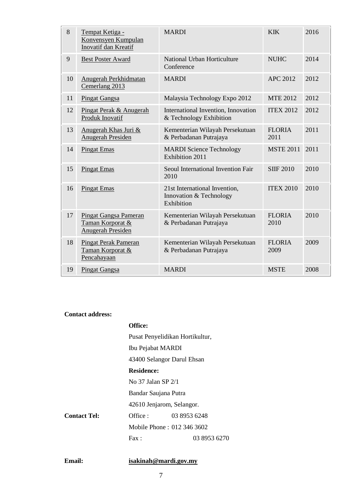| 8  | Tempat Ketiga -<br>Konvensyen Kumpulan<br>Inovatif dan Kreatif | <b>MARDI</b>                                                           | <b>KIK</b>            | 2016 |
|----|----------------------------------------------------------------|------------------------------------------------------------------------|-----------------------|------|
| 9  | <b>Best Poster Award</b>                                       | National Urban Horticulture<br>Conference                              | <b>NUHC</b>           | 2014 |
| 10 | Anugerah Perkhidmatan<br>Cemerlang 2013                        | <b>MARDI</b>                                                           | <b>APC 2012</b>       | 2012 |
| 11 | <b>Pingat Gangsa</b>                                           | Malaysia Technology Expo 2012                                          | <b>MTE 2012</b>       | 2012 |
| 12 | Pingat Perak & Anugerah<br>Produk Inovatif                     | International Invention, Innovation<br>& Technology Exhibition         | <b>ITEX 2012</b>      | 2012 |
| 13 | Anugerah Khas Juri &<br><b>Anugerah Presiden</b>               | Kementerian Wilayah Persekutuan<br>& Perbadanan Putrajaya              | <b>FLORIA</b><br>2011 | 2011 |
| 14 | <b>Pingat Emas</b>                                             | <b>MARDI Science Technology</b><br>Exhibition 2011                     | <b>MSTE 2011</b>      | 2011 |
| 15 | <b>Pingat Emas</b>                                             | Seoul International Invention Fair<br>2010                             | <b>SIIF 2010</b>      | 2010 |
| 16 | <b>Pingat Emas</b>                                             | 21st International Invention,<br>Innovation & Technology<br>Exhibition | <b>ITEX 2010</b>      | 2010 |
| 17 | Pingat Gangsa Pameran<br>Taman Korporat &<br>Anugerah Presiden | Kementerian Wilayah Persekutuan<br>& Perbadanan Putrajaya              | <b>FLORIA</b><br>2010 | 2010 |
| 18 | <b>Pingat Perak Pameran</b><br>Taman Korporat &<br>Pencahayaan | Kementerian Wilayah Persekutuan<br>& Perbadanan Putrajaya              | <b>FLORIA</b><br>2009 | 2009 |
| 19 | <b>Pingat Gangsa</b>                                           | <b>MARDI</b>                                                           | <b>MSTE</b>           | 2008 |

### **Contact address:**

|                     | Office:                         |              |  |
|---------------------|---------------------------------|--------------|--|
|                     | Pusat Penyelidikan Hortikultur, |              |  |
|                     | Ibu Pejabat MARDI               |              |  |
|                     | 43400 Selangor Darul Ehsan      |              |  |
|                     | <b>Residence:</b>               |              |  |
|                     | No 37 Jalan SP 2/1              |              |  |
|                     | Bandar Saujana Putra            |              |  |
|                     | 42610 Jenjarom, Selangor.       |              |  |
| <b>Contact Tel:</b> | Office :                        | 03 8953 6248 |  |
|                     | Mobile Phone: 012 346 3602      |              |  |
|                     | $\text{Fax}:$                   | 03 8953 6270 |  |

# **Email: [isakinah@mardi.gov.my](mailto:mmyusof@mardi.gov.my)**